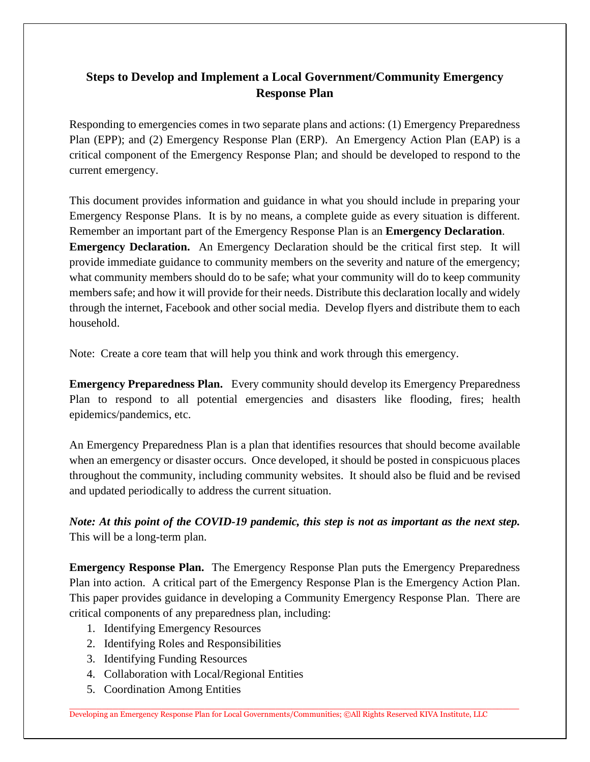## **Steps to Develop and Implement a Local Government/Community Emergency Response Plan**

Responding to emergencies comes in two separate plans and actions: (1) Emergency Preparedness Plan (EPP); and (2) Emergency Response Plan (ERP). An Emergency Action Plan (EAP) is a critical component of the Emergency Response Plan; and should be developed to respond to the current emergency.

This document provides information and guidance in what you should include in preparing your Emergency Response Plans. It is by no means, a complete guide as every situation is different. Remember an important part of the Emergency Response Plan is an **Emergency Declaration**. **Emergency Declaration.** An Emergency Declaration should be the critical first step. It will provide immediate guidance to community members on the severity and nature of the emergency; what community members should do to be safe; what your community will do to keep community members safe; and how it will provide for their needs. Distribute this declaration locally and widely through the internet, Facebook and other social media. Develop flyers and distribute them to each household.

Note: Create a core team that will help you think and work through this emergency.

**Emergency Preparedness Plan.** Every community should develop its Emergency Preparedness Plan to respond to all potential emergencies and disasters like flooding, fires; health epidemics/pandemics, etc.

An Emergency Preparedness Plan is a plan that identifies resources that should become available when an emergency or disaster occurs. Once developed, it should be posted in conspicuous places throughout the community, including community websites. It should also be fluid and be revised and updated periodically to address the current situation.

*Note: At this point of the COVID-19 pandemic, this step is not as important as the next step.* This will be a long-term plan.

**Emergency Response Plan.** The Emergency Response Plan puts the Emergency Preparedness Plan into action. A critical part of the Emergency Response Plan is the Emergency Action Plan. This paper provides guidance in developing a Community Emergency Response Plan. There are critical components of any preparedness plan, including:

- 1. Identifying Emergency Resources
- 2. Identifying Roles and Responsibilities
- 3. Identifying Funding Resources
- 4. Collaboration with Local/Regional Entities
- 5. Coordination Among Entities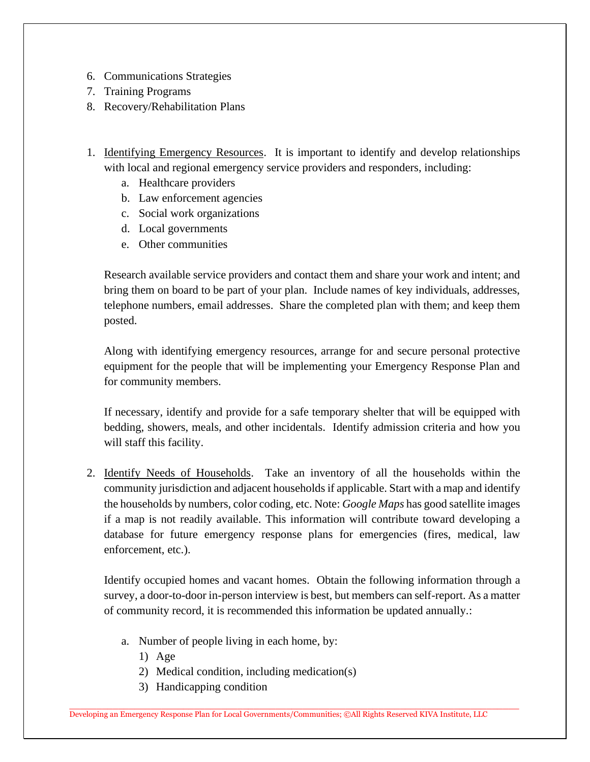- 6. Communications Strategies
- 7. Training Programs
- 8. Recovery/Rehabilitation Plans
- 1. Identifying Emergency Resources. It is important to identify and develop relationships with local and regional emergency service providers and responders, including:
	- a. Healthcare providers
	- b. Law enforcement agencies
	- c. Social work organizations
	- d. Local governments
	- e. Other communities

Research available service providers and contact them and share your work and intent; and bring them on board to be part of your plan. Include names of key individuals, addresses, telephone numbers, email addresses. Share the completed plan with them; and keep them posted.

Along with identifying emergency resources, arrange for and secure personal protective equipment for the people that will be implementing your Emergency Response Plan and for community members.

If necessary, identify and provide for a safe temporary shelter that will be equipped with bedding, showers, meals, and other incidentals. Identify admission criteria and how you will staff this facility.

2. Identify Needs of Households. Take an inventory of all the households within the community jurisdiction and adjacent households if applicable. Start with a map and identify the households by numbers, color coding, etc. Note: *Google Maps* has good satellite images if a map is not readily available. This information will contribute toward developing a database for future emergency response plans for emergencies (fires, medical, law enforcement, etc.).

Identify occupied homes and vacant homes. Obtain the following information through a survey, a door-to-door in-person interview is best, but members can self-report. As a matter of community record, it is recommended this information be updated annually.:

- a. Number of people living in each home, by:
	- 1) Age
	- 2) Medical condition, including medication(s)
	- 3) Handicapping condition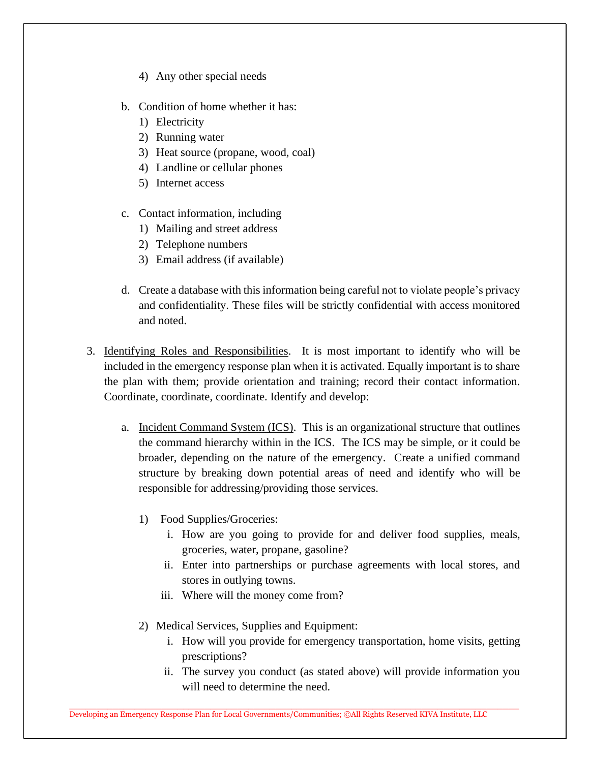- 4) Any other special needs
- b. Condition of home whether it has:
	- 1) Electricity
	- 2) Running water
	- 3) Heat source (propane, wood, coal)
	- 4) Landline or cellular phones
	- 5) Internet access
- c. Contact information, including
	- 1) Mailing and street address
	- 2) Telephone numbers
	- 3) Email address (if available)
- d. Create a database with this information being careful not to violate people's privacy and confidentiality. These files will be strictly confidential with access monitored and noted.
- 3. Identifying Roles and Responsibilities. It is most important to identify who will be included in the emergency response plan when it is activated. Equally important is to share the plan with them; provide orientation and training; record their contact information. Coordinate, coordinate, coordinate. Identify and develop:
	- a. Incident Command System (ICS). This is an organizational structure that outlines the command hierarchy within in the ICS. The ICS may be simple, or it could be broader, depending on the nature of the emergency. Create a unified command structure by breaking down potential areas of need and identify who will be responsible for addressing/providing those services.
		- 1) Food Supplies/Groceries:
			- i. How are you going to provide for and deliver food supplies, meals, groceries, water, propane, gasoline?
			- ii. Enter into partnerships or purchase agreements with local stores, and stores in outlying towns.
			- iii. Where will the money come from?
		- 2) Medical Services, Supplies and Equipment:
			- i. How will you provide for emergency transportation, home visits, getting prescriptions?
			- ii. The survey you conduct (as stated above) will provide information you will need to determine the need.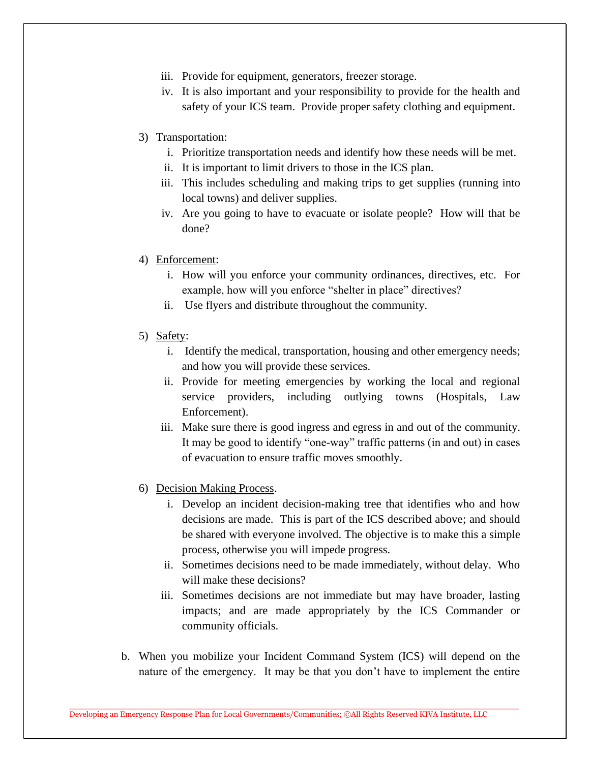- iii. Provide for equipment, generators, freezer storage.
- iv. It is also important and your responsibility to provide for the health and safety of your ICS team. Provide proper safety clothing and equipment.
- 3) Transportation:
	- i. Prioritize transportation needs and identify how these needs will be met.
	- ii. It is important to limit drivers to those in the ICS plan.
	- iii. This includes scheduling and making trips to get supplies (running into local towns) and deliver supplies.
	- iv. Are you going to have to evacuate or isolate people? How will that be done?
- 4) Enforcement:
	- i. How will you enforce your community ordinances, directives, etc. For example, how will you enforce "shelter in place" directives?
	- ii. Use flyers and distribute throughout the community.
- 5) Safety:
	- i. Identify the medical, transportation, housing and other emergency needs; and how you will provide these services.
	- ii. Provide for meeting emergencies by working the local and regional service providers, including outlying towns (Hospitals, Law Enforcement).
	- iii. Make sure there is good ingress and egress in and out of the community. It may be good to identify "one-way" traffic patterns (in and out) in cases of evacuation to ensure traffic moves smoothly.
- 6) Decision Making Process.
	- i. Develop an incident decision-making tree that identifies who and how decisions are made. This is part of the ICS described above; and should be shared with everyone involved. The objective is to make this a simple process, otherwise you will impede progress.
	- ii. Sometimes decisions need to be made immediately, without delay. Who will make these decisions?
	- iii. Sometimes decisions are not immediate but may have broader, lasting impacts; and are made appropriately by the ICS Commander or community officials.
- b. When you mobilize your Incident Command System (ICS) will depend on the nature of the emergency. It may be that you don't have to implement the entire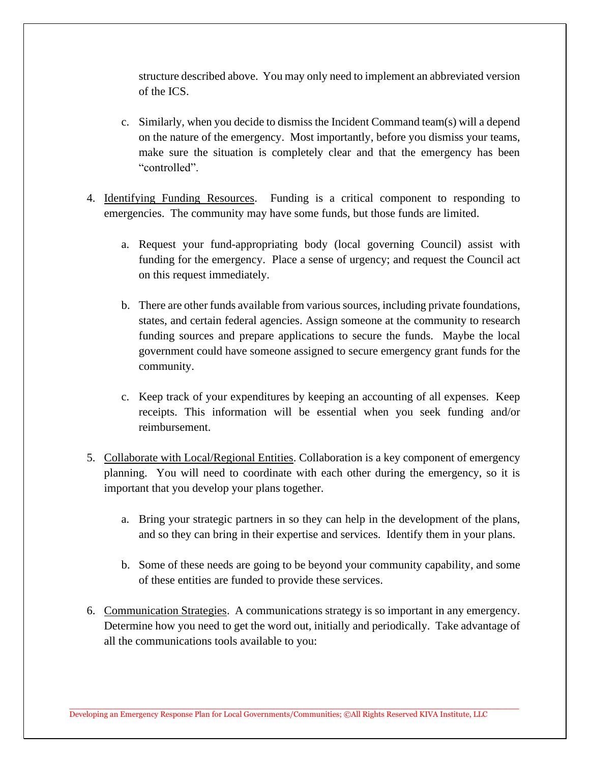structure described above. You may only need to implement an abbreviated version of the ICS.

- c. Similarly, when you decide to dismiss the Incident Command team(s) will a depend on the nature of the emergency. Most importantly, before you dismiss your teams, make sure the situation is completely clear and that the emergency has been "controlled".
- 4. Identifying Funding Resources. Funding is a critical component to responding to emergencies. The community may have some funds, but those funds are limited.
	- a. Request your fund-appropriating body (local governing Council) assist with funding for the emergency. Place a sense of urgency; and request the Council act on this request immediately.
	- b. There are other funds available from various sources, including private foundations, states, and certain federal agencies. Assign someone at the community to research funding sources and prepare applications to secure the funds. Maybe the local government could have someone assigned to secure emergency grant funds for the community.
	- c. Keep track of your expenditures by keeping an accounting of all expenses. Keep receipts. This information will be essential when you seek funding and/or reimbursement.
- 5. Collaborate with Local/Regional Entities. Collaboration is a key component of emergency planning. You will need to coordinate with each other during the emergency, so it is important that you develop your plans together.
	- a. Bring your strategic partners in so they can help in the development of the plans, and so they can bring in their expertise and services. Identify them in your plans.
	- b. Some of these needs are going to be beyond your community capability, and some of these entities are funded to provide these services.
- 6. Communication Strategies. A communications strategy is so important in any emergency. Determine how you need to get the word out, initially and periodically. Take advantage of all the communications tools available to you: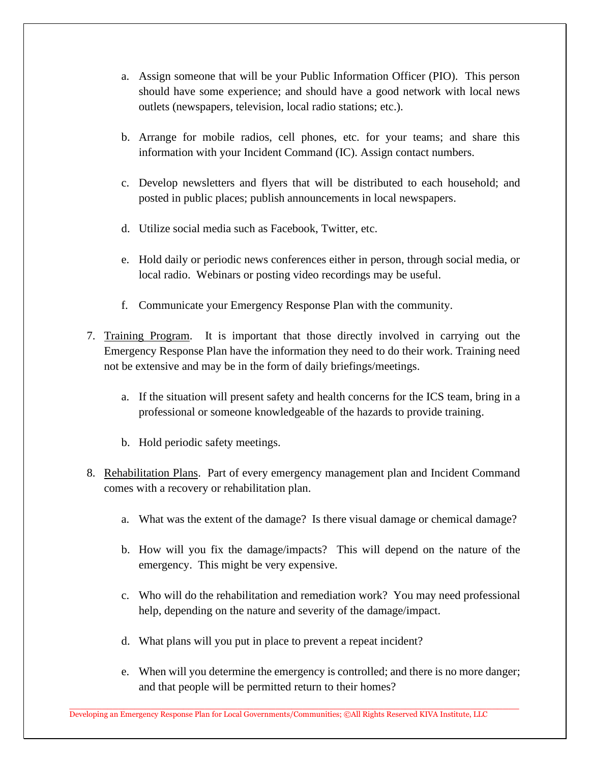- a. Assign someone that will be your Public Information Officer (PIO). This person should have some experience; and should have a good network with local news outlets (newspapers, television, local radio stations; etc.).
- b. Arrange for mobile radios, cell phones, etc. for your teams; and share this information with your Incident Command (IC). Assign contact numbers.
- c. Develop newsletters and flyers that will be distributed to each household; and posted in public places; publish announcements in local newspapers.
- d. Utilize social media such as Facebook, Twitter, etc.
- e. Hold daily or periodic news conferences either in person, through social media, or local radio. Webinars or posting video recordings may be useful.
- f. Communicate your Emergency Response Plan with the community.
- 7. Training Program. It is important that those directly involved in carrying out the Emergency Response Plan have the information they need to do their work. Training need not be extensive and may be in the form of daily briefings/meetings.
	- a. If the situation will present safety and health concerns for the ICS team, bring in a professional or someone knowledgeable of the hazards to provide training.
	- b. Hold periodic safety meetings.
- 8. Rehabilitation Plans. Part of every emergency management plan and Incident Command comes with a recovery or rehabilitation plan.
	- a. What was the extent of the damage? Is there visual damage or chemical damage?
	- b. How will you fix the damage/impacts? This will depend on the nature of the emergency. This might be very expensive.
	- c. Who will do the rehabilitation and remediation work? You may need professional help, depending on the nature and severity of the damage/impact.
	- d. What plans will you put in place to prevent a repeat incident?
	- e. When will you determine the emergency is controlled; and there is no more danger; and that people will be permitted return to their homes?

Developing an Emergency Response Plan for Local Governments/Communities; ©All Rights Reserved KIVA Institute, LLC